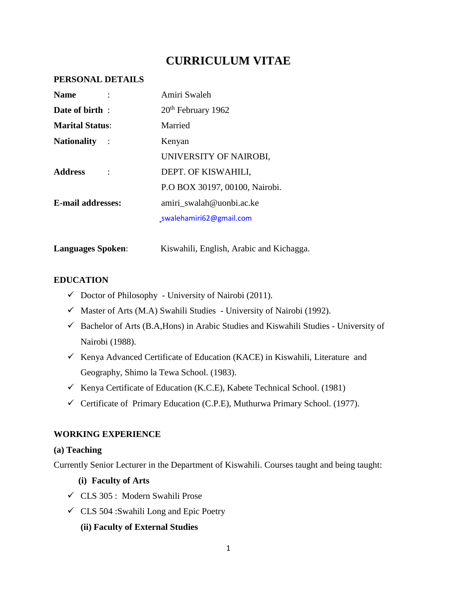# **CURRICULUM VITAE**

#### **PERSONAL DETAILS**

| <b>Name</b>              | Amiri Swaleh                   |
|--------------------------|--------------------------------|
| Date of birth:           | 20 <sup>th</sup> February 1962 |
| <b>Marital Status:</b>   | Married                        |
| <b>Nationality</b>       | Kenyan                         |
|                          | UNIVERSITY OF NAIROBI,         |
| <b>Address</b>           | DEPT. OF KISWAHILI,            |
|                          | P.O BOX 30197, 00100, Nairobi. |
| <b>E-mail addresses:</b> | amiri swalah@uonbi.ac.ke       |
|                          | swalehamiri62@gmail.com        |
|                          |                                |

Languages Spoken: Kiswahili, English, Arabic and Kichagga.

#### **EDUCATION**

- $\checkmark$  Doctor of Philosophy University of Nairobi (2011).
- $\checkmark$  Master of Arts (M.A) Swahili Studies University of Nairobi (1992).
- $\checkmark$  Bachelor of Arts (B.A, Hons) in Arabic Studies and Kiswahili Studies University of Nairobi (1988).
- Kenya Advanced Certificate of Education (KACE) in Kiswahili, Literature and Geography, Shimo la Tewa School. (1983).
- Kenya Certificate of Education (K.C.E), Kabete Technical School. (1981)
- $\checkmark$  Certificate of Primary Education (C.P.E), Muthurwa Primary School. (1977).

#### **WORKING EXPERIENCE**

#### **(a) Teaching**

Currently Senior Lecturer in the Department of Kiswahili. Courses taught and being taught:

- **(i) Faculty of Arts**
- CLS 305 : Modern Swahili Prose
- $\checkmark$  CLS 504 :Swahili Long and Epic Poetry
	- **(ii) Faculty of External Studies**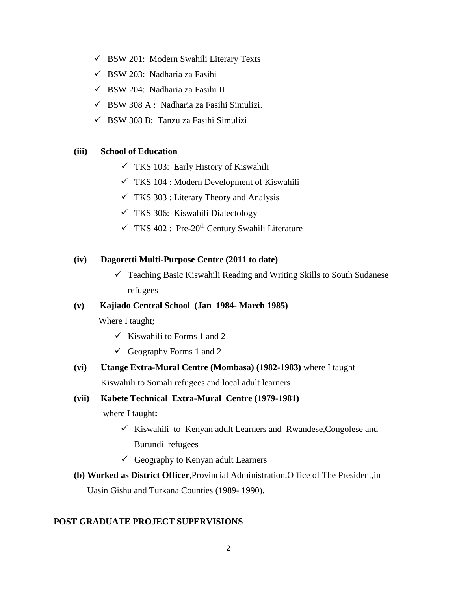- $\checkmark$  BSW 201: Modern Swahili Literary Texts
- $\checkmark$  BSW 203: Nadharia za Fasihi
- $\checkmark$  BSW 204: Nadharia za Fasihi II
- $\checkmark$  BSW 308 A : Nadharia za Fasihi Simulizi.
- $\checkmark$  BSW 308 B: Tanzu za Fasihi Simulizi

#### **(iii) School of Education**

- $\checkmark$  TKS 103: Early History of Kiswahili
- $\checkmark$  TKS 104 : Modern Development of Kiswahili
- $\checkmark$  TKS 303 : Literary Theory and Analysis
- $\checkmark$  TKS 306: Kiswahili Dialectology
- $\checkmark$  TKS 402 : Pre-20<sup>th</sup> Century Swahili Literature

#### **(iv) Dagoretti Multi-Purpose Centre (2011 to date)**

 $\checkmark$  Teaching Basic Kiswahili Reading and Writing Skills to South Sudanese refugees

#### **(v) Kajiado Central School (Jan 1984- March 1985)**

Where I taught;

- $\checkmark$  Kiswahili to Forms 1 and 2
- Geography Forms 1 and 2

#### **(vi) Utange Extra-Mural Centre (Mombasa) (1982-1983)** where I taught

Kiswahili to Somali refugees and local adult learners

#### **(vii) Kabete Technical Extra-Mural Centre (1979-1981)**

where I taught**:**

- $\checkmark$  Kiswahili to Kenyan adult Learners and Rwandese, Congolese and Burundi refugees
- $\checkmark$  Geography to Kenyan adult Learners

# **(b) Worked as District Officer**,Provincial Administration,Office of The President,in Uasin Gishu and Turkana Counties (1989- 1990).

#### **POST GRADUATE PROJECT SUPERVISIONS**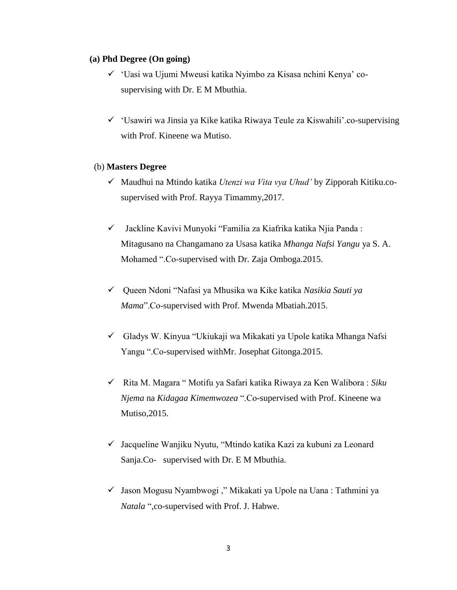#### **(a) Phd Degree (On going)**

- 'Uasi wa Ujumi Mweusi katika Nyimbo za Kisasa nchini Kenya' cosupervising with Dr. E M Mbuthia.
- $\checkmark$  'Usawiri wa Jinsia ya Kike katika Riwaya Teule za Kiswahili'.co-supervising with Prof. Kineene wa Mutiso.

#### (b) **Masters Degree**

- Maudhui na Mtindo katika *Utenzi wa Vita vya Uhud'* by Zipporah Kitiku.cosupervised with Prof. Rayya Timammy,2017.
- $\checkmark$  Jackline Kavivi Munyoki "Familia za Kiafrika katika Njia Panda : Mitagusano na Changamano za Usasa katika *Mhanga Nafsi Yangu* ya S. A. Mohamed ".Co-supervised with Dr. Zaja Omboga.2015.
- Queen Ndoni "Nafasi ya Mhusika wa Kike katika *Nasikia Sauti ya Mama*".Co-supervised with Prof. Mwenda Mbatiah.2015.
- $\checkmark$  Gladys W. Kinyua "Ukiukaji wa Mikakati ya Upole katika Mhanga Nafsi Yangu ".Co-supervised withMr. Josephat Gitonga.2015.
- Rita M. Magara " Motifu ya Safari katika Riwaya za Ken Walibora : *Siku Njema* na *Kidagaa Kimemwozea* ".Co-supervised with Prof. Kineene wa Mutiso,2015.
- $\checkmark$  Jacqueline Wanjiku Nyutu, "Mtindo katika Kazi za kubuni za Leonard Sanja.Co- supervised with Dr. E M Mbuthia.
- $\checkmark$  Jason Mogusu Nyambwogi ," Mikakati ya Upole na Uana : Tathmini ya *Natala* ",co-supervised with Prof. J. Habwe.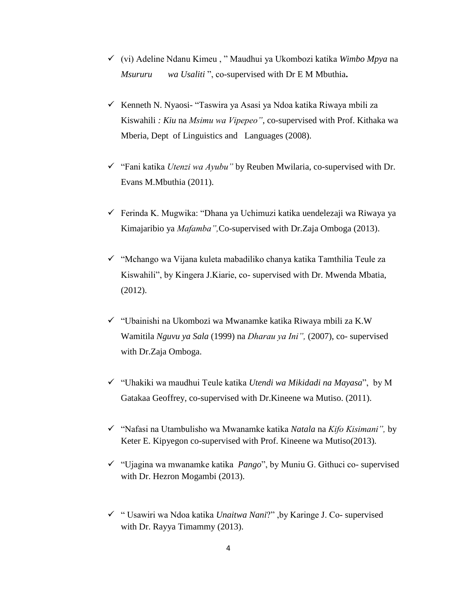- (vi) Adeline Ndanu Kimeu , " Maudhui ya Ukombozi katika *Wimbo Mpya* na *Msururu wa Usaliti* ", co-supervised with Dr E M Mbuthia**.**
- $\checkmark$  Kenneth N. Nyaosi- "Taswira ya Asasi ya Ndoa katika Riwaya mbili za Kiswahili *: Kiu* na *Msimu wa Vipepeo"*, co-supervised with Prof. Kithaka wa Mberia, Dept of Linguistics and Languages (2008).
- "Fani katika *Utenzi wa Ayubu"* by Reuben Mwilaria, co-supervised with Dr. Evans M.Mbuthia (2011).
- $\checkmark$  Ferinda K. Mugwika: "Dhana ya Uchimuzi katika uendelezaji wa Riwaya ya Kimajaribio ya *Mafamba",*Co-supervised with Dr.Zaja Omboga (2013).
- $\checkmark$  "Mchango wa Vijana kuleta mabadiliko chanya katika Tamthilia Teule za Kiswahili", by Kingera J.Kiarie, co- supervised with Dr. Mwenda Mbatia, (2012).
- "Ubainishi na Ukombozi wa Mwanamke katika Riwaya mbili za K.W Wamitila *Nguvu ya Sala* (1999) na *Dharau ya Ini",* (2007), co- supervised with Dr.Zaja Omboga.
- "Uhakiki wa maudhui Teule katika *Utendi wa Mikidadi na Mayasa*", by M Gatakaa Geoffrey, co-supervised with Dr.Kineene wa Mutiso. (2011).
- "Nafasi na Utambulisho wa Mwanamke katika *Natala* na *Kifo Kisimani",* by Keter E. Kipyegon co-supervised with Prof. Kineene wa Mutiso(2013).
- "Ujagina wa mwanamke katika *Pango*", by Muniu G. Githuci co- supervised with Dr. Hezron Mogambi (2013).
- " Usawiri wa Ndoa katika *Unaitwa Nani*?" ,by Karinge J. Co- supervised with Dr. Rayya Timammy (2013).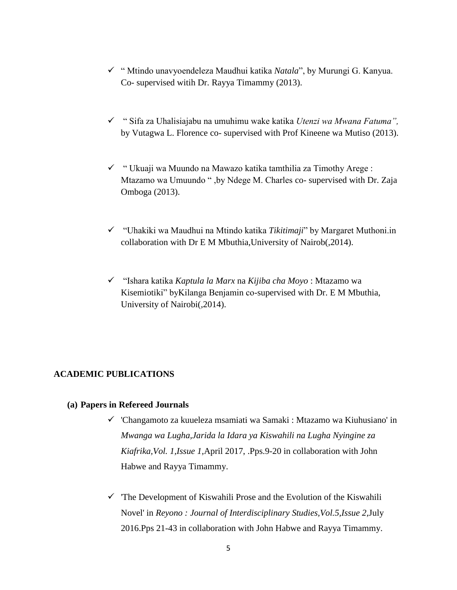- " Mtindo unavyoendeleza Maudhui katika *Natala*", by Murungi G. Kanyua. Co- supervised witih Dr. Rayya Timammy (2013).
- " Sifa za Uhalisiajabu na umuhimu wake katika *Utenzi wa Mwana Fatuma",*  by Vutagwa L. Florence co- supervised with Prof Kineene wa Mutiso (2013).
- $\checkmark$  " Ukuaji wa Muundo na Mawazo katika tamthilia za Timothy Arege : Mtazamo wa Umuundo " ,by Ndege M. Charles co- supervised with Dr. Zaja Omboga (2013).
- "Uhakiki wa Maudhui na Mtindo katika *Tikitimaji*" by Margaret Muthoni.in collaboration with Dr E M Mbuthia,University of Nairob(,2014).
- "Ishara katika *Kaptula la Marx* na *Kijiba cha Moyo* : Mtazamo wa Kisemiotiki" byKilanga Benjamin co-supervised with Dr. E M Mbuthia, University of Nairobi(,2014).

#### **ACADEMIC PUBLICATIONS**

#### **(a) Papers in Refereed Journals**

- 'Changamoto za kuueleza msamiati wa Samaki : Mtazamo wa Kiuhusiano' in *Mwanga wa Lugha,Jarida la Idara ya Kiswahili na Lugha Nyingine za Kiafrika,Vol. 1,Issue 1,*April 2017, .Pps.9-20 in collaboration with John Habwe and Rayya Timammy.
- $\checkmark$  The Development of Kiswahili Prose and the Evolution of the Kiswahili Novel' in *Reyono : Journal of Interdisciplinary Studies,Vol.5,Issue 2*,July 2016.Pps 21-43 in collaboration with John Habwe and Rayya Timammy.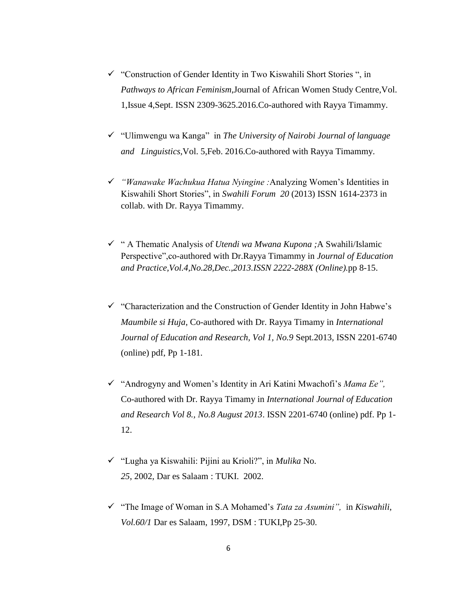- $\checkmark$  "Construction of Gender Identity in Two Kiswahili Short Stories", in *Pathways to African Feminism*,Journal of African Women Study Centre,Vol. 1,Issue 4,Sept. ISSN 2309-3625.2016.Co-authored with Rayya Timammy.
- "Ulimwengu wa Kanga" in *The University of Nairobi Journal of language and Linguistics,*Vol. 5,Feb. 2016.Co-authored with Rayya Timammy.
- *"Wanawake Wachukua Hatua Nyingine :*Analyzing Women's Identities in Kiswahili Short Stories", in *Swahili Forum 20* (2013) ISSN 1614-2373 in collab. with Dr. Rayya Timammy.
- " A Thematic Analysis of *Utendi wa Mwana Kupona ;*A Swahili/Islamic Perspective",co-authored with Dr.Rayya Timammy in *Journal of Education and Practice,Vol.4,No.28,Dec.,2013.ISSN 2222-288X (Online).*pp 8-15.
- $\checkmark$  "Characterization and the Construction of Gender Identity in John Habwe's *Maumbile si Huja*, Co-authored with Dr. Rayya Timamy in *International Journal of Education and Research, Vol 1, No.9* Sept.2013*,* ISSN 2201-6740 (online) pdf, Pp 1-181.
- "Androgyny and Women's Identity in Ari Katini Mwachofi's *Mama Ee",*  Co-authored with Dr. Rayya Timamy in *International Journal of Education and Research Vol 8., No.8 August 2013*. ISSN 2201-6740 (online) pdf. Pp 1- 12.
- "Lugha ya Kiswahili: Pijini au Krioli?", in *Mulika* No. *25*, 2002, Dar es Salaam : TUKI. 2002.
- "The Image of Woman in S.A Mohamed's *Tata za Asumini",* in *Kiswahili*, *Vol.60/1* Dar es Salaam, 1997, DSM : TUKI,Pp 25-30.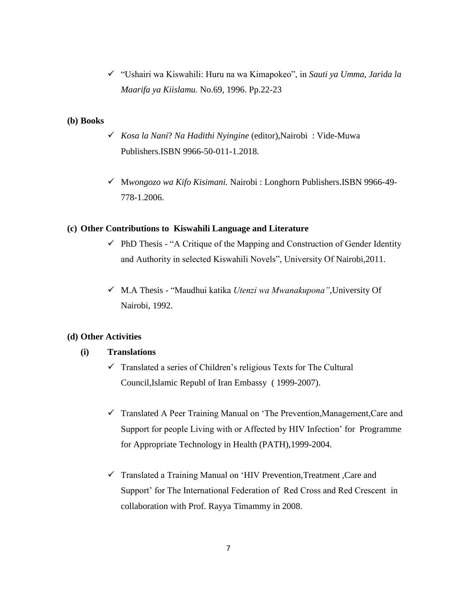"Ushairi wa Kiswahili: Huru na wa Kimapokeo", in *Sauti ya Umma, Jarida la Maarifa ya Kiislamu.* No.69, 1996. Pp.22-23

#### **(b) Books**

- *Kosa la Nani*? *Na Hadithi Nyingine* (editor),Nairobi : Vide-Muwa Publishers.ISBN 9966-50-011-1.2018.
- M*wongozo wa Kifo Kisimani.* Nairobi : Longhorn Publishers.ISBN 9966-49- 778-1.2006.

#### **(c) Other Contributions to Kiswahili Language and Literature**

- $\checkmark$  PhD Thesis "A Critique of the Mapping and Construction of Gender Identity and Authority in selected Kiswahili Novels", University Of Nairobi,2011.
- M.A Thesis "Maudhui katika *Utenzi wa Mwanakupona"*,University Of Nairobi, 1992.

### **(d) Other Activities**

#### **(i) Translations**

- $\checkmark$  Translated a series of Children's religious Texts for The Cultural Council,Islamic Republ of Iran Embassy ( 1999-2007).
- $\checkmark$  Translated A Peer Training Manual on 'The Prevention, Management, Care and Support for people Living with or Affected by HIV Infection' for Programme for Appropriate Technology in Health (PATH),1999-2004.
- $\checkmark$  Translated a Training Manual on 'HIV Prevention, Treatment , Care and Support' for The International Federation of Red Cross and Red Crescent in collaboration with Prof. Rayya Timammy in 2008.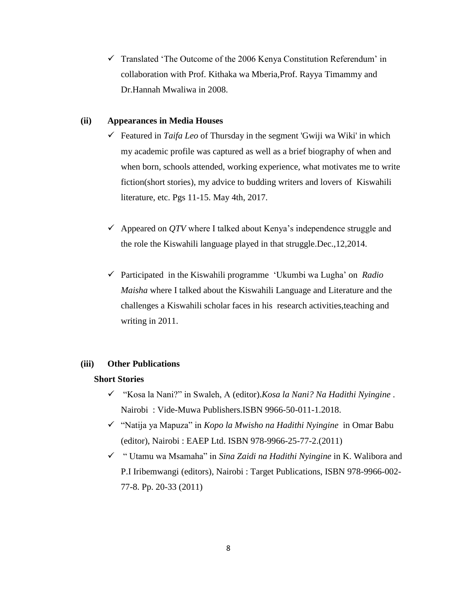$\checkmark$  Translated 'The Outcome of the 2006 Kenya Constitution Referendum' in collaboration with Prof. Kithaka wa Mberia,Prof. Rayya Timammy and Dr.Hannah Mwaliwa in 2008.

#### **(ii) Appearances in Media Houses**

- Featured in *Taifa Leo* of Thursday in the segment 'Gwiji wa Wiki' in which my academic profile was captured as well as a brief biography of when and when born, schools attended, working experience, what motivates me to write fiction(short stories), my advice to budding writers and lovers of Kiswahili literature, etc. Pgs 11-15. May 4th, 2017.
- $\checkmark$  Appeared on QTV where I talked about Kenya's independence struggle and the role the Kiswahili language played in that struggle.Dec.,12,2014.
- Participated in the Kiswahili programme 'Ukumbi wa Lugha' on *Radio Maisha* where I talked about the Kiswahili Language and Literature and the challenges a Kiswahili scholar faces in his research activities,teaching and writing in 2011.

#### **(iii) Other Publications**

#### **Short Stories**

- "Kosa la Nani?" in Swaleh, A (editor).*Kosa la Nani? Na Hadithi Nyingine* . Nairobi : Vide-Muwa Publishers.ISBN 9966-50-011-1.2018.
- "Natija ya Mapuza" in *Kopo la Mwisho na Hadithi Nyingine* in Omar Babu (editor), Nairobi : EAEP Ltd. ISBN 978-9966-25-77-2.(2011)
- " Utamu wa Msamaha" in *Sina Zaidi na Hadithi Nyingine* in K. Walibora and P.I Iribemwangi (editors), Nairobi : Target Publications, ISBN 978-9966-002- 77-8. Pp. 20-33 (2011)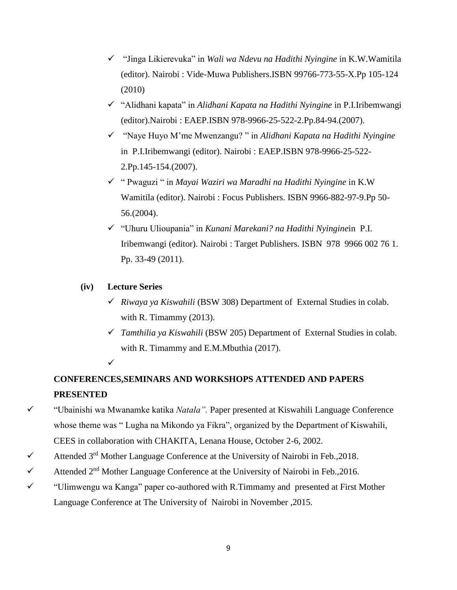- "Jinga Likierevuka" in *Wali wa Ndevu na Hadithi Nyingine* in K.W.Wamitila (editor). Nairobi : Vide-Muwa Publishers.ISBN 99766-773-55-X.Pp 105-124 (2010)
- "Alidhani kapata" in *Alidhani Kapata na Hadithi Nyingine* in P.I.Iribemwangi (editor).Nairobi : EAEP.ISBN 978-9966-25-522-2.Pp.84-94.(2007).
- "Naye Huyo M'me Mwenzangu? " in *Alidhani Kapata na Hadithi Nyingine* in P.I.Iribemwangi (editor). Nairobi : EAEP.ISBN 978-9966-25-522- 2.Pp.145-154.(2007).
- " Pwaguzi " in *Mayai Waziri wa Maradhi na Hadithi Nyingine* in K.W Wamitila (editor). Nairobi : Focus Publishers. ISBN 9966-882-97-9.Pp 50- 56.(2004).
- "Uhuru Ulioupania" in *Kunani Marekani? na Hadithi Nyingine*in P.I. Iribemwangi (editor). Nairobi : Target Publishers. ISBN 978 9966 002 76 1. Pp. 33-49 (2011).

## **(iv) Lecture Series**

 $\checkmark$ 

- *Riwaya ya Kiswahili* (BSW 308) Department of External Studies in colab. with R. Timammy (2013).
- *Tamthilia ya Kiswahili* (BSW 205) Department of External Studies in colab. with R. Timammy and E.M.Mbuthia (2017).

# **CONFERENCES,SEMINARS AND WORKSHOPS ATTENDED AND PAPERS PRESENTED**

- "Ubainishi wa Mwanamke katika *Natala".* Paper presented at Kiswahili Language Conference whose theme was " Lugha na Mikondo ya Fikra", organized by the Department of Kiswahili, CEES in collaboration with CHAKITA, Lenana House, October 2-6, 2002.
- $\checkmark$  Attended 3<sup>rd</sup> Mother Language Conference at the University of Nairobi in Feb., 2018.
- $\checkmark$  Attended 2<sup>nd</sup> Mother Language Conference at the University of Nairobi in Feb., 2016.
- $\checkmark$  "Ulimwengu wa Kanga" paper co-authored with R.Timmamy and presented at First Mother Language Conference at The University of Nairobi in November ,2015.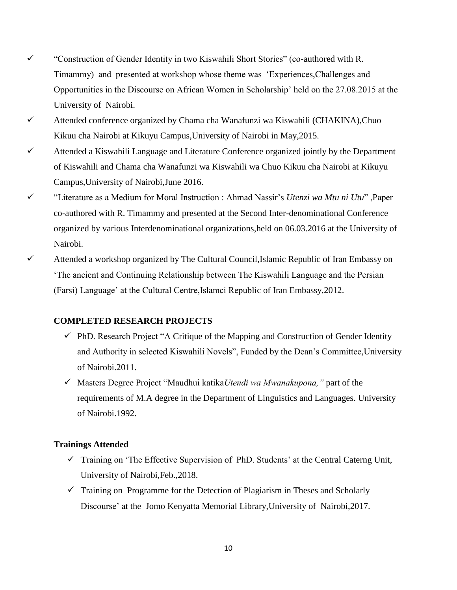- "Construction of Gender Identity in two Kiswahili Short Stories" (co-authored with R. Timammy) and presented at workshop whose theme was 'Experiences,Challenges and Opportunities in the Discourse on African Women in Scholarship' held on the 27.08.2015 at the University of Nairobi.
- $\checkmark$  Attended conference organized by Chama cha Wanafunzi wa Kiswahili (CHAKINA),Chuo Kikuu cha Nairobi at Kikuyu Campus,University of Nairobi in May,2015.
- $\checkmark$  Attended a Kiswahili Language and Literature Conference organized jointly by the Department of Kiswahili and Chama cha Wanafunzi wa Kiswahili wa Chuo Kikuu cha Nairobi at Kikuyu Campus,University of Nairobi,June 2016.
- "Literature as a Medium for Moral Instruction : Ahmad Nassir's *Utenzi wa Mtu ni Utu*" ,Paper co-authored with R. Timammy and presented at the Second Inter-denominational Conference organized by various Interdenominational organizations,held on 06.03.2016 at the University of Nairobi.
- $\checkmark$  Attended a workshop organized by The Cultural Council, Islamic Republic of Iran Embassy on 'The ancient and Continuing Relationship between The Kiswahili Language and the Persian (Farsi) Language' at the Cultural Centre,Islamci Republic of Iran Embassy,2012.

## **COMPLETED RESEARCH PROJECTS**

- $\checkmark$  PhD. Research Project "A Critique of the Mapping and Construction of Gender Identity and Authority in selected Kiswahili Novels", Funded by the Dean's Committee,University of Nairobi.2011.
- Masters Degree Project "Maudhui katika*Utendi wa Mwanakupona,"* part of the requirements of M.A degree in the Department of Linguistics and Languages. University of Nairobi.1992.

#### **Trainings Attended**

- $\checkmark$  Training on 'The Effective Supervision of PhD. Students' at the Central Caterng Unit, University of Nairobi,Feb.,2018.
- $\checkmark$  Training on Programme for the Detection of Plagiarism in Theses and Scholarly Discourse' at the Jomo Kenyatta Memorial Library,University of Nairobi,2017.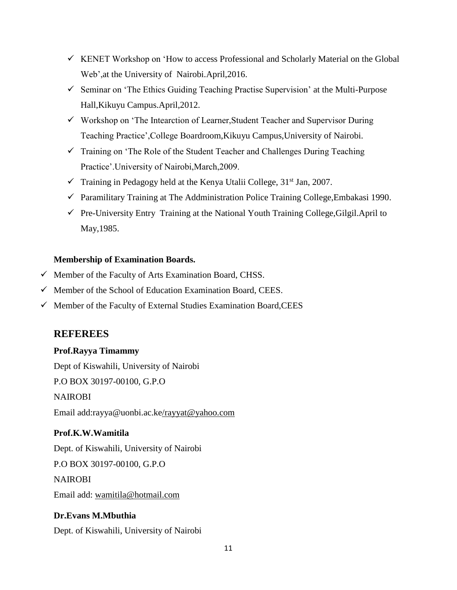- $\checkmark$  KENET Workshop on 'How to access Professional and Scholarly Material on the Global Web',at the University of Nairobi.April,2016.
- $\checkmark$  Seminar on 'The Ethics Guiding Teaching Practise Supervision' at the Multi-Purpose Hall,Kikuyu Campus.April,2012.
- Workshop on 'The Intearction of Learner,Student Teacher and Supervisor During Teaching Practice',College Boardroom,Kikuyu Campus,University of Nairobi.
- $\checkmark$  Training on 'The Role of the Student Teacher and Challenges During Teaching Practice'.University of Nairobi,March,2009.
- $\checkmark$  Training in Pedagogy held at the Kenya Utalii College, 31<sup>st</sup> Jan, 2007.
- $\checkmark$  Paramilitary Training at The Addministration Police Training College, Embakasi 1990.
- $\checkmark$  Pre-University Entry Training at the National Youth Training College, Gilgil.April to May,1985.

## **Membership of Examination Boards.**

- $\checkmark$  Member of the Faculty of Arts Examination Board, CHSS.
- $\checkmark$  Member of the School of Education Examination Board, CEES.
- $\checkmark$  Member of the Faculty of External Studies Examination Board, CEES

# **REFEREES**

## **Prof.Rayya Timammy**

Dept of Kiswahili, University of Nairobi

P.O BOX 30197-00100, G.P.O

## NAIROBI

Email add:rayya@uonbi.ac.ke/rayyat@yahoo.com

# **Prof.K.W.Wamitila**

Dept. of Kiswahili, University of Nairobi

P.O BOX 30197-00100, G.P.O

NAIROBI

Email add: wamitila@hotmail.com

# **Dr.Evans M.Mbuthia**

Dept. of Kiswahili, University of Nairobi